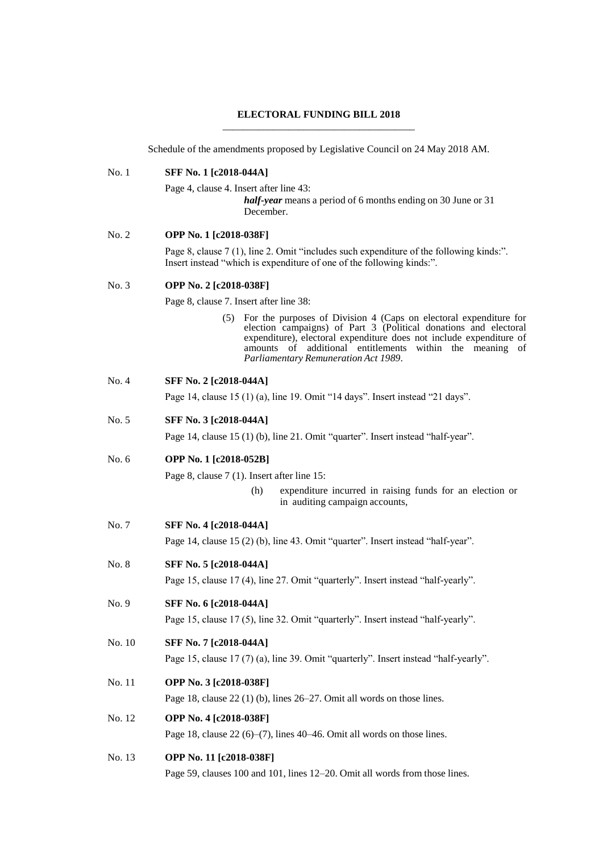## **ELECTORAL FUNDING BILL 2018** \_\_\_\_\_\_\_\_\_\_\_\_\_\_\_\_\_\_\_\_\_\_\_\_\_\_\_\_\_\_\_\_\_\_\_\_\_\_

Schedule of the amendments proposed by Legislative Council on 24 May 2018 AM.

| No.1    | <b>SFF No. 1 [c2018-044A]</b>                                                                                                                                                                                                                                                                                           |
|---------|-------------------------------------------------------------------------------------------------------------------------------------------------------------------------------------------------------------------------------------------------------------------------------------------------------------------------|
|         | Page 4, clause 4. Insert after line 43:<br><i>half-year</i> means a period of 6 months ending on 30 June or 31<br>December.                                                                                                                                                                                             |
| No. 2   | OPP No. 1 [c2018-038F]                                                                                                                                                                                                                                                                                                  |
|         | Page 8, clause 7 (1), line 2. Omit "includes such expenditure of the following kinds:".<br>Insert instead "which is expenditure of one of the following kinds:".                                                                                                                                                        |
| No. 3   | OPP No. 2 [c2018-038F]                                                                                                                                                                                                                                                                                                  |
|         | Page 8, clause 7. Insert after line 38:                                                                                                                                                                                                                                                                                 |
|         | For the purposes of Division 4 (Caps on electoral expenditure for<br>(5)<br>election campaigns) of Part 3 (Political donations and electoral<br>expenditure), electoral expenditure does not include expenditure of<br>amounts of additional entitlements within the meaning of<br>Parliamentary Remuneration Act 1989. |
| No. 4   | SFF No. 2 [c2018-044A]                                                                                                                                                                                                                                                                                                  |
|         | Page 14, clause 15 (1) (a), line 19. Omit "14 days". Insert instead "21 days".                                                                                                                                                                                                                                          |
| No. 5   | SFF No. 3 [c2018-044A]                                                                                                                                                                                                                                                                                                  |
|         | Page 14, clause 15 (1) (b), line 21. Omit "quarter". Insert instead "half-year".                                                                                                                                                                                                                                        |
| No. $6$ | OPP No. 1 [c2018-052B]                                                                                                                                                                                                                                                                                                  |
|         | Page 8, clause 7 (1). Insert after line 15:                                                                                                                                                                                                                                                                             |
|         | (h)<br>expenditure incurred in raising funds for an election or<br>in auditing campaign accounts,                                                                                                                                                                                                                       |
| No. 7   | SFF No. 4 [c2018-044A]                                                                                                                                                                                                                                                                                                  |
|         | Page 14, clause 15 (2) (b), line 43. Omit "quarter". Insert instead "half-year".                                                                                                                                                                                                                                        |
| No. 8   | SFF No. 5 [c2018-044A]                                                                                                                                                                                                                                                                                                  |
|         | Page 15, clause 17 (4), line 27. Omit "quarterly". Insert instead "half-yearly".                                                                                                                                                                                                                                        |
| No. 9   | SFF No. 6 [c2018-044A]                                                                                                                                                                                                                                                                                                  |
|         | Page 15, clause 17 (5), line 32. Omit "quarterly". Insert instead "half-yearly".                                                                                                                                                                                                                                        |
| No. 10  | SFF No. 7 [c2018-044A]                                                                                                                                                                                                                                                                                                  |
|         | Page 15, clause 17 (7) (a), line 39. Omit "quarterly". Insert instead "half-yearly".                                                                                                                                                                                                                                    |
| No. 11  | OPP No. 3 [c2018-038F]                                                                                                                                                                                                                                                                                                  |
|         | Page 18, clause $22$ (1) (b), lines $26-27$ . Omit all words on those lines.                                                                                                                                                                                                                                            |
| No. 12  | OPP No. 4 [c2018-038F]                                                                                                                                                                                                                                                                                                  |
|         | Page 18, clause $22(6)$ –(7), lines 40–46. Omit all words on those lines.                                                                                                                                                                                                                                               |
| No. 13  | OPP No. 11 [c2018-038F]                                                                                                                                                                                                                                                                                                 |
|         | Page 59, clauses 100 and 101, lines 12-20. Omit all words from those lines.                                                                                                                                                                                                                                             |